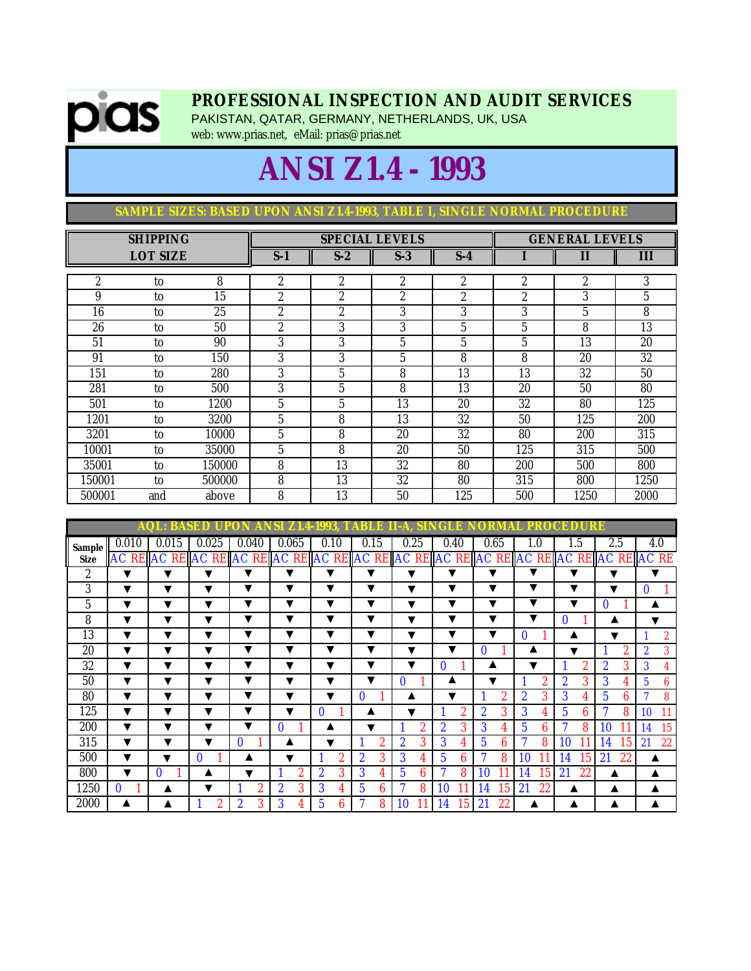

## **PROFESSIONAL INSPECTION AND AUDIT SERVICES**

PAKISTAN, QATAR, GERMANY, NETHERLANDS, UK, USA web: www.prias.net, eMail: prias@prias.net

## **ANSI Z1.4 - 1993**

**SAMPLE SIZES: BASED UPON ANSI Z1.4-1993, TABLE I, SINGLE NORMAL PROCEDURE**

|        | <b>SHIPPING</b> |        |                |                | <b>SPECIAL LEVELS</b> | <b>GENERAL LEVELS</b> |                |                |      |
|--------|-----------------|--------|----------------|----------------|-----------------------|-----------------------|----------------|----------------|------|
|        | <b>LOT SIZE</b> |        | $S-1$          | $S-2$          | $S-3$                 | $S-4$                 |                | $\mathbf{I}$   | Ш    |
| 2      | to              | 8      | 2              | $\overline{2}$ | $\overline{c}$        | 2                     | 2              | $\overline{c}$ | 3    |
| 9      | to              | 15     | 2              | $\overline{2}$ | 2                     | $\overline{2}$        | $\overline{c}$ | 3              | 5    |
| 16     | to              | 25     | $\overline{2}$ | $\overline{2}$ | 3                     | 3                     | 3              | 5              | 8    |
| 26     | to              | 50     | $\overline{2}$ | 3              | 3                     | 5                     | 5              | 8              | 13   |
| 51     | to              | 90     | 3              | 3              | 5                     | 5                     | 5              | 13             | 20   |
| 91     | to              | 150    | 3              | 3              | 5                     | 8                     | 8              | 20             | 32   |
| 151    | to              | 280    | 3              | 5              | 8                     | 13                    | 13             | 32             | 50   |
| 281    | to              | 500    | 3              | 5              | 8                     | 13                    | 20             | 50             | 80   |
| 501    | to              | 1200   | 5              | 5              | 13                    | 20                    | 32             | 80             | 125  |
| 1201   | to              | 3200   | 5              | 8              | 13                    | 32                    | 50             | 125            | 200  |
| 3201   | to              | 10000  | 5              | 8              | 20                    | 32                    | 80             | 200            | 315  |
| 10001  | to              | 35000  | 5              | 8              | 20                    | 50                    | 125            | 315            | 500  |
| 35001  | to              | 150000 | 8              | 13             | 32                    | 80                    | 200            | 500            | 800  |
| 150001 | to              | 500000 | 8              | 13             | 32                    | 80                    | 315            | 800            | 1250 |
| 500001 | and             | above  | 8              | 13             | 50                    | 125                   | 500            | 1250           | 2000 |

|             | AQ)             | BASI         | ĐD<br>U.     | 0                   | 74                      | 4-1                   | r,                  |                     | H                     |                       | O<br>и                | CI<br>ĐD.<br>URB        |                       |                          |
|-------------|-----------------|--------------|--------------|---------------------|-------------------------|-----------------------|---------------------|---------------------|-----------------------|-----------------------|-----------------------|-------------------------|-----------------------|--------------------------|
| Sample      | 0.010           | 0.015        | 0.025        | 0.040               | 0.065                   | 0.10                  | 0.15                | 0.25                | 0.40                  | 0.65                  | 1.0                   | 1.5                     | 2.5                   | 4.0                      |
| <b>Size</b> | <b>AC RE AC</b> |              |              |                     |                         |                       |                     |                     |                       |                       |                       | <b>RE</b> AC            | <b>REAC</b>           | <b>REAC</b><br><b>RE</b> |
| 2           | ▼               | ▼            | ▼            | v                   | v                       | v                     | ▼                   | ▼                   | v                     | ▼                     | v                     | ▼                       | ▼                     | v                        |
| 3           | ▼               | ▼            | ▼            | v                   | ▼                       | ▼                     | ▼                   | ▼                   | v                     | ▼                     | ▼                     | ▼                       | ▼                     | 0                        |
| 5           | ▼               | ▼            | ▼            | ▼                   | $\overline{\textbf{v}}$ | ▼                     | ▼                   | v                   | ▼                     | ▼                     | ▼                     | $\overline{\textbf{v}}$ | 0                     | ▲                        |
| 8           | ▼               | ▼            | ▼            | ▼                   | ▼                       | ▼                     | ▼                   | ▼                   | ▼                     | ▼                     |                       | 0                       |                       | ▼                        |
| 13          | ▼               | ▼            | ▼            | ▼                   | ▼                       | ▼                     | ▼                   | ▼                   | ▼                     | ▼                     | 0                     |                         | v                     | $\overline{2}$           |
| 20          | ▼               | ▼            | ▼            | ▼                   | ▼                       | ▼                     | ▼                   | ▼                   | v                     | $\bf{0}$              |                       | v                       | 2                     | 3<br>$\overline{2}$      |
| 32          | ▼               | ▼            | ▼            | ▼                   | ▼                       | ▼                     | ▼                   | ▼                   | $\mathbf{0}$          |                       | ▼                     | 2                       | 3<br>$\boldsymbol{2}$ | 3<br>4                   |
| 50          | ▼               | ▼            | ▼            | v                   | v                       | v                     | v                   | $\mathbf{0}$        | ▲                     | ▼                     | $\overline{2}$        | $\overline{2}$<br>3     | 3<br>4                | 6<br>5                   |
| 80          | ▼               | ▼            | ▼            | v                   | v                       | v                     | 0                   |                     | v                     | $\overline{2}$        | 3<br>$\boldsymbol{2}$ | 3                       | 6<br>5                | 8                        |
| 125         | ▼               | ▼            | ▼            | ▼                   | v                       | 0                     |                     | v                   | $\boldsymbol{2}$      | $\boldsymbol{2}$<br>3 | 3<br>4                | 6<br>5                  | 8                     | <b>10</b><br>11          |
| 200         | ▼               | ▼            | ▼            | v                   | $\mathbf{0}$            |                       |                     | $\overline{2}$      | $\boldsymbol{2}$<br>3 | 3                     | 5<br>6                | 8                       | 10                    | 15<br><b>14</b>          |
| 315         | ▼               | ▼            | ▼            | $\mathbf{0}$        |                         | v                     | $\overline{2}$      | $\overline{2}$<br>3 | 3<br>4                | 5<br>6                | 8                     | 10                      | 15<br>14              | 22<br>21                 |
| 500         | ▼               | v            | $\mathbf{0}$ | Α                   | v                       | 2                     | $\overline{2}$<br>3 | 3                   | 5<br>6                | 8                     | 10                    | 15<br>14                | 21<br>22              | ▲                        |
| 800         | ▼               | $\mathbf{0}$ |              | ▼                   | 2                       | $\boldsymbol{2}$<br>3 | 3<br>4              | 5<br>6              | $\mathbf{r}$<br>8     | 10                    | 14<br>15              | 21<br>22                |                       | А                        |
| 1250        | $\mathbf{0}$    |              | ▼            | 2                   | $\overline{2}$<br>3     | 3<br>4                | 5<br>6              | Η<br>8              | 10                    | 15<br>14              | 21<br>22              |                         |                       | ▲                        |
| 2000        | ▲               |              | 2            | $\overline{2}$<br>3 | 3                       | 5<br>6                | 7<br>8              | 10                  | 15<br>14              | 21<br>22              |                       |                         |                       | А                        |